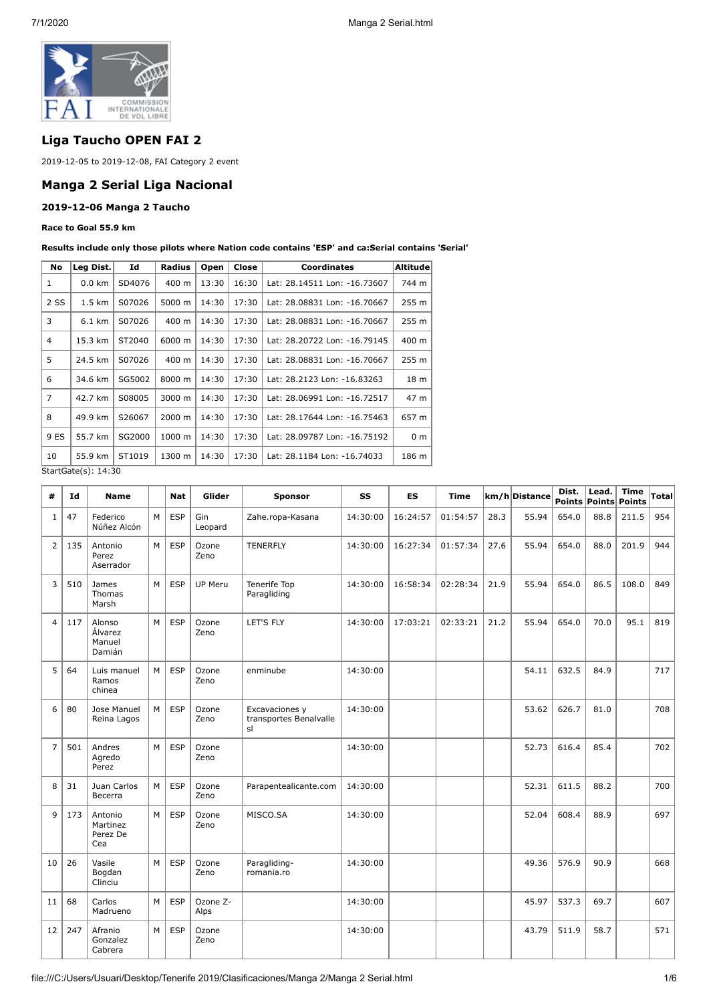

## **Liga Taucho OPEN FAI 2**

2019-12-05 to 2019-12-08, FAI Category 2 event

#### **Manga 2 Serial Liga Nacional**

#### **2019-12-06 Manga 2 Taucho**

#### **Race to Goal 55.9 km**

#### **Results include only those pilots where Nation code contains 'ESP' and ca:Serial contains 'Serial'**

| No   | Leg Dist.        | Id     | Radius | Open  | Close | <b>Coordinates</b>           | <b>Altitude</b> |
|------|------------------|--------|--------|-------|-------|------------------------------|-----------------|
| 1    | $0.0$ km         | SD4076 | 400 m  | 13:30 | 16:30 | Lat: 28.14511 Lon: -16.73607 | 744 m           |
| 2 SS | $1.5 \text{ km}$ | S07026 | 5000 m | 14:30 | 17:30 | Lat: 28.08831 Lon: -16.70667 | 255 m           |
| 3    | $6.1 \text{ km}$ | S07026 | 400 m  | 14:30 | 17:30 | Lat: 28.08831 Lon: -16.70667 | 255 m           |
| 4    | 15.3 km          | ST2040 | 6000 m | 14:30 | 17:30 | Lat: 28.20722 Lon: -16.79145 | 400 m           |
| 5    | 24.5 km          | S07026 | 400 m  | 14:30 | 17:30 | Lat: 28.08831 Lon: -16.70667 | 255 m           |
| 6    | 34.6 km          | SG5002 | 8000 m | 14:30 | 17:30 | Lat: 28.2123 Lon: -16.83263  | 18 <sub>m</sub> |
| 7    | 42.7 km          | S08005 | 3000 m | 14:30 | 17:30 | Lat: 28.06991 Lon: -16.72517 | 47 m            |
| 8    | 49.9 km          | S26067 | 2000 m | 14:30 | 17:30 | Lat: 28.17644 Lon: -16.75463 | 657 m           |
| 9 ES | 55.7 km          | SG2000 | 1000 m | 14:30 | 17:30 | Lat: 28.09787 Lon: -16.75192 | 0 <sub>m</sub>  |
| 10   | 55.9 km          | ST1019 | 1300 m | 14:30 | 17:30 | Lat: 28.1184 Lon: -16.74033  | 186 m           |

StartGate(s): 14:30

| #              | Id  | <b>Name</b>                                  |   | <b>Nat</b> | Glider           | <b>Sponsor</b>                                 | SS       | <b>ES</b> | <b>Time</b> |      | km/h Distance | Dist.<br><b>Points</b> | Lead.<br> Points | <b>Time</b><br><b>Points</b> | <b>Total</b> |
|----------------|-----|----------------------------------------------|---|------------|------------------|------------------------------------------------|----------|-----------|-------------|------|---------------|------------------------|------------------|------------------------------|--------------|
| 1              | 47  | Federico<br>Núñez Alcón                      | M | ESP        | Gin<br>Leopard   | Zahe.ropa-Kasana                               | 14:30:00 | 16:24:57  | 01:54:57    | 28.3 | 55.94         | 654.0                  | 88.8             | 211.5                        | 954          |
| $\overline{2}$ | 135 | Antonio<br>Perez<br>Aserrador                | M | <b>ESP</b> | Ozone<br>Zeno    | <b>TENERFLY</b>                                | 14:30:00 | 16:27:34  | 01:57:34    | 27.6 | 55.94         | 654.0                  | 88.0             | 201.9                        | 944          |
| 3              | 510 | James<br>Thomas<br>Marsh                     | M | <b>ESP</b> | UP Meru          | Tenerife Top<br>Paragliding                    | 14:30:00 | 16:58:34  | 02:28:34    | 21.9 | 55.94         | 654.0                  | 86.5             | 108.0                        | 849          |
| $\overline{4}$ | 117 | Alonso<br><b>Alvarez</b><br>Manuel<br>Damián | M | ESP        | Ozone<br>Zeno    | LET'S FLY                                      | 14:30:00 | 17:03:21  | 02:33:21    | 21.2 | 55.94         | 654.0                  | 70.0             | 95.1                         | 819          |
| 5              | 64  | Luis manuel<br>Ramos<br>chinea               | M | <b>ESP</b> | Ozone<br>Zeno    | enminube                                       | 14:30:00 |           |             |      | 54.11         | 632.5                  | 84.9             |                              | 717          |
| 6              | 80  | Jose Manuel<br>Reina Lagos                   | M | <b>ESP</b> | Ozone<br>Zeno    | Excavaciones y<br>transportes Benalvalle<br>sl | 14:30:00 |           |             |      | 53.62         | 626.7                  | 81.0             |                              | 708          |
| $\overline{7}$ | 501 | Andres<br>Agredo<br>Perez                    | M | <b>ESP</b> | Ozone<br>Zeno    |                                                | 14:30:00 |           |             |      | 52.73         | 616.4                  | 85.4             |                              | 702          |
| 8              | 31  | Juan Carlos<br>Becerra                       | M | <b>ESP</b> | Ozone<br>Zeno    | Parapentealicante.com                          | 14:30:00 |           |             |      | 52.31         | 611.5                  | 88.2             |                              | 700          |
| $\mathsf{q}$   | 173 | Antonio<br>Martinez<br>Perez De<br>Cea       | M | ESP        | Ozone<br>Zeno    | MISCO.SA                                       | 14:30:00 |           |             |      | 52.04         | 608.4                  | 88.9             |                              | 697          |
| 10             | 26  | Vasile<br>Bogdan<br>Clinciu                  | M | <b>ESP</b> | Ozone<br>Zeno    | Paragliding-<br>romania.ro                     | 14:30:00 |           |             |      | 49.36         | 576.9                  | 90.9             |                              | 668          |
| 11             | 68  | Carlos<br>Madrueno                           | M | <b>ESP</b> | Ozone Z-<br>Alps |                                                | 14:30:00 |           |             |      | 45.97         | 537.3                  | 69.7             |                              | 607          |
| 12             | 247 | Afranio<br>Gonzalez<br>Cabrera               | M | ESP        | Ozone<br>Zeno    |                                                | 14:30:00 |           |             |      | 43.79         | 511.9                  | 58.7             |                              | 571          |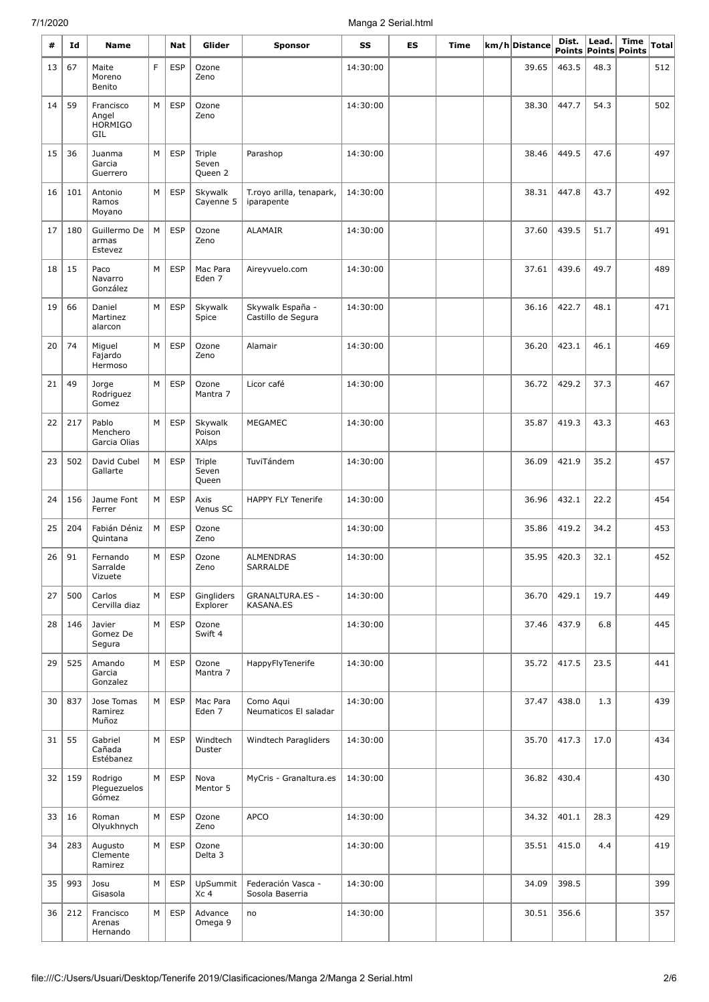| #  | Id  | Name                                        |   | Nat        | Glider                     | <b>Sponsor</b>                         | SS       | ES | Time | km/h Distance | Dist.<br><b>Points</b> | Lead. | Time<br>Points Points | Total |
|----|-----|---------------------------------------------|---|------------|----------------------------|----------------------------------------|----------|----|------|---------------|------------------------|-------|-----------------------|-------|
| 13 | 67  | Maite<br>Moreno<br>Benito                   | F | <b>ESP</b> | Ozone<br>Zeno              |                                        | 14:30:00 |    |      | 39.65         | 463.5                  | 48.3  |                       | 512   |
| 14 | 59  | Francisco<br>Angel<br><b>HORMIGO</b><br>GIL | М | <b>ESP</b> | Ozone<br>Zeno              |                                        | 14:30:00 |    |      | 38.30         | 447.7                  | 54.3  |                       | 502   |
| 15 | 36  | Juanma<br>Garcia<br>Guerrero                | М | <b>ESP</b> | Triple<br>Seven<br>Queen 2 | Parashop                               | 14:30:00 |    |      | 38.46         | 449.5                  | 47.6  |                       | 497   |
| 16 | 101 | Antonio<br>Ramos<br>Moyano                  | М | <b>ESP</b> | Skywalk<br>Cayenne 5       | T.royo arilla, tenapark,<br>iparapente | 14:30:00 |    |      | 38.31         | 447.8                  | 43.7  |                       | 492   |
| 17 | 180 | Guillermo De<br>armas<br>Estevez            | М | <b>ESP</b> | Ozone<br>Zeno              | ALAMAIR                                | 14:30:00 |    |      | 37.60         | 439.5                  | 51.7  |                       | 491   |
| 18 | 15  | Paco<br>Navarro<br>González                 | M | <b>ESP</b> | Mac Para<br>Eden 7         | Aireyvuelo.com                         | 14:30:00 |    |      | 37.61         | 439.6                  | 49.7  |                       | 489   |
| 19 | 66  | Daniel<br>Martinez<br>alarcon               | М | <b>ESP</b> | Skywalk<br>Spice           | Skywalk España -<br>Castillo de Segura | 14:30:00 |    |      | 36.16         | 422.7                  | 48.1  |                       | 471   |
| 20 | 74  | Miguel<br>Fajardo<br>Hermoso                | M | <b>ESP</b> | Ozone<br>Zeno              | Alamair                                | 14:30:00 |    |      | 36.20         | 423.1                  | 46.1  |                       | 469   |
| 21 | 49  | Jorge<br>Rodriguez<br>Gomez                 | М | <b>ESP</b> | Ozone<br>Mantra 7          | Licor café                             | 14:30:00 |    |      | 36.72         | 429.2                  | 37.3  |                       | 467   |
| 22 | 217 | Pablo<br>Menchero<br>Garcia Olias           | М | <b>ESP</b> | Skywalk<br>Poison<br>XAlps | <b>MEGAMEC</b>                         | 14:30:00 |    |      | 35.87         | 419.3                  | 43.3  |                       | 463   |
| 23 | 502 | David Cubel<br>Gallarte                     | М | <b>ESP</b> | Triple<br>Seven<br>Queen   | TuviTándem                             | 14:30:00 |    |      | 36.09         | 421.9                  | 35.2  |                       | 457   |
| 24 | 156 | Jaume Font<br>Ferrer                        | М | <b>ESP</b> | Axis<br>Venus SC           | <b>HAPPY FLY Tenerife</b>              | 14:30:00 |    |      | 36.96         | 432.1                  | 22.2  |                       | 454   |
| 25 | 204 | Fabián Déniz<br>Quintana                    | М | <b>ESP</b> | Ozone<br>Zeno              |                                        | 14:30:00 |    |      | 35.86         | 419.2                  | 34.2  |                       | 453   |
| 26 | 91  | Fernando<br>Sarralde<br>Vizuete             | М | <b>ESP</b> | Ozone<br>Zeno              | <b>ALMENDRAS</b><br>SARRALDE           | 14:30:00 |    |      | 35.95         | 420.3                  | 32.1  |                       | 452   |
| 27 | 500 | Carlos<br>Cervilla diaz                     | М | <b>ESP</b> | Gingliders<br>Explorer     | <b>GRANALTURA.ES -</b><br>KASANA.ES    | 14:30:00 |    |      | 36.70         | 429.1                  | 19.7  |                       | 449   |
| 28 | 146 | Javier<br>Gomez De<br>Segura                | М | <b>ESP</b> | Ozone<br>Swift 4           |                                        | 14:30:00 |    |      | 37.46         | 437.9                  | 6.8   |                       | 445   |
| 29 | 525 | Amando<br>Garcia<br>Gonzalez                | М | <b>ESP</b> | Ozone<br>Mantra 7          | HappyFlyTenerife                       | 14:30:00 |    |      | 35.72         | 417.5                  | 23.5  |                       | 441   |
| 30 | 837 | Jose Tomas<br>Ramirez<br>Muñoz              | М | <b>ESP</b> | Mac Para<br>Eden 7         | Como Aqui<br>Neumaticos El saladar     | 14:30:00 |    |      | 37.47         | 438.0                  | 1.3   |                       | 439   |
| 31 | 55  | Gabriel<br>Cañada<br>Estébanez              | М | <b>ESP</b> | Windtech<br>Duster         | Windtech Paragliders                   | 14:30:00 |    |      | 35.70         | 417.3                  | 17.0  |                       | 434   |
| 32 | 159 | Rodrigo<br>Pleguezuelos<br>Gómez            | М | <b>ESP</b> | Nova<br>Mentor 5           | MyCris - Granaltura.es                 | 14:30:00 |    |      | 36.82         | 430.4                  |       |                       | 430   |
| 33 | 16  | Roman<br>Olyukhnych                         | М | <b>ESP</b> | Ozone<br>Zeno              | <b>APCO</b>                            | 14:30:00 |    |      | 34.32         | 401.1                  | 28.3  |                       | 429   |
| 34 | 283 | Augusto<br>Clemente<br>Ramirez              | М | <b>ESP</b> | Ozone<br>Delta 3           |                                        | 14:30:00 |    |      | 35.51         | 415.0                  | 4.4   |                       | 419   |
| 35 | 993 | Josu<br>Gisasola                            | М | <b>ESP</b> | UpSummit<br>Xc 4           | Federación Vasca -<br>Sosola Baserria  | 14:30:00 |    |      | 34.09         | 398.5                  |       |                       | 399   |
| 36 | 212 | Francisco<br>Arenas<br>Hernando             | М | <b>ESP</b> | Advance<br>Omega 9         | no                                     | 14:30:00 |    |      | 30.51         | 356.6                  |       |                       | 357   |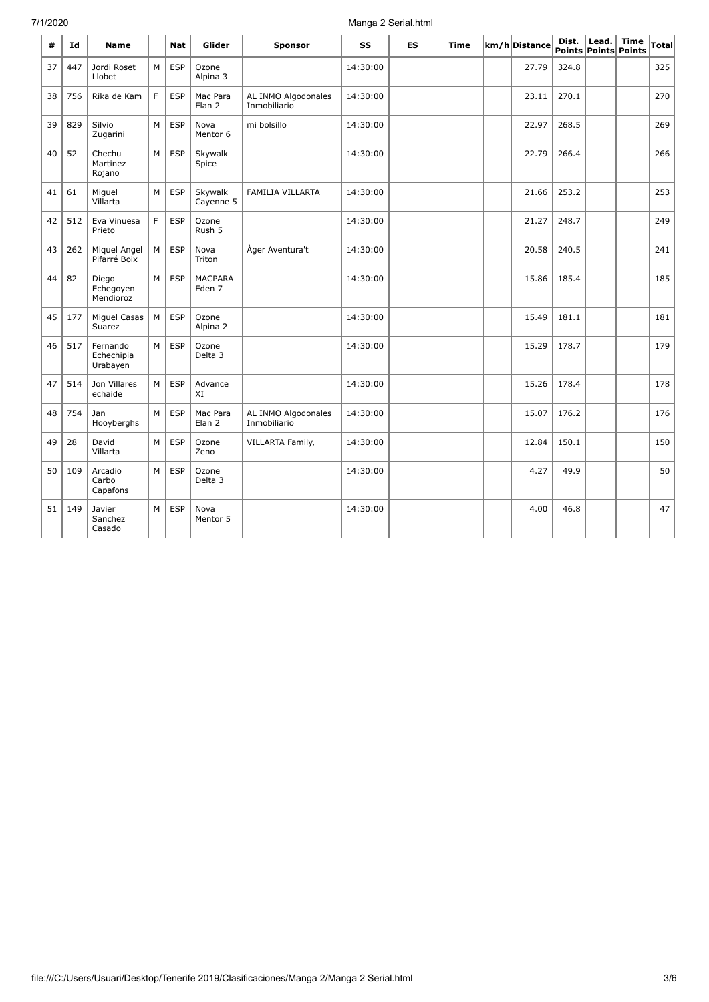| #  | Id  | <b>Name</b>                        |   | Nat        | Glider                   | <b>Sponsor</b>                      | SS       | <b>ES</b> | Time | km/h Distance | Dist. | Lead. | <b>Time</b><br>Points Points Points | <b>Total</b> |
|----|-----|------------------------------------|---|------------|--------------------------|-------------------------------------|----------|-----------|------|---------------|-------|-------|-------------------------------------|--------------|
| 37 | 447 | Jordi Roset<br>Llobet              | M | <b>ESP</b> | Ozone<br>Alpina 3        |                                     | 14:30:00 |           |      | 27.79         | 324.8 |       |                                     | 325          |
| 38 | 756 | Rika de Kam                        | F | <b>ESP</b> | Mac Para<br>Elan 2       | AL INMO Algodonales<br>Inmobiliario | 14:30:00 |           |      | 23.11         | 270.1 |       |                                     | 270          |
| 39 | 829 | Silvio<br>Zugarini                 | M | <b>ESP</b> | Nova<br>Mentor 6         | mi bolsillo                         | 14:30:00 |           |      | 22.97         | 268.5 |       |                                     | 269          |
| 40 | 52  | Chechu<br>Martinez<br>Rojano       | M | <b>ESP</b> | Skywalk<br>Spice         |                                     | 14:30:00 |           |      | 22.79         | 266.4 |       |                                     | 266          |
| 41 | 61  | Miguel<br>Villarta                 | M | <b>ESP</b> | Skywalk<br>Cayenne 5     | FAMILIA VILLARTA                    | 14:30:00 |           |      | 21.66         | 253.2 |       |                                     | 253          |
| 42 | 512 | Eva Vinuesa<br>Prieto              | F | <b>ESP</b> | Ozone<br>Rush 5          |                                     | 14:30:00 |           |      | 21.27         | 248.7 |       |                                     | 249          |
| 43 | 262 | Miguel Angel<br>Pifarré Boix       | M | <b>ESP</b> | Nova<br>Triton           | Àger Aventura't                     | 14:30:00 |           |      | 20.58         | 240.5 |       |                                     | 241          |
| 44 | 82  | Diego<br>Echegoyen<br>Mendioroz    | M | <b>ESP</b> | <b>MACPARA</b><br>Eden 7 |                                     | 14:30:00 |           |      | 15.86         | 185.4 |       |                                     | 185          |
| 45 | 177 | Miguel Casas<br>Suarez             | M | <b>ESP</b> | Ozone<br>Alpina 2        |                                     | 14:30:00 |           |      | 15.49         | 181.1 |       |                                     | 181          |
| 46 | 517 | Fernando<br>Echechipia<br>Urabayen | M | <b>ESP</b> | Ozone<br>Delta 3         |                                     | 14:30:00 |           |      | 15.29         | 178.7 |       |                                     | 179          |
| 47 | 514 | Jon Villares<br>echaide            | M | <b>ESP</b> | Advance<br>XI            |                                     | 14:30:00 |           |      | 15.26         | 178.4 |       |                                     | 178          |
| 48 | 754 | Jan<br>Hooyberghs                  | M | <b>ESP</b> | Mac Para<br>Elan 2       | AL INMO Algodonales<br>Inmobiliario | 14:30:00 |           |      | 15.07         | 176.2 |       |                                     | 176          |
| 49 | 28  | David<br>Villarta                  | M | <b>ESP</b> | Ozone<br>Zeno            | VILLARTA Family,                    | 14:30:00 |           |      | 12.84         | 150.1 |       |                                     | 150          |
| 50 | 109 | Arcadio<br>Carbo<br>Capafons       | M | <b>ESP</b> | Ozone<br>Delta 3         |                                     | 14:30:00 |           |      | 4.27          | 49.9  |       |                                     | 50           |
| 51 | 149 | Javier<br>Sanchez<br>Casado        | M | <b>ESP</b> | Nova<br>Mentor 5         |                                     | 14:30:00 |           |      | 4.00          | 46.8  |       |                                     | 47           |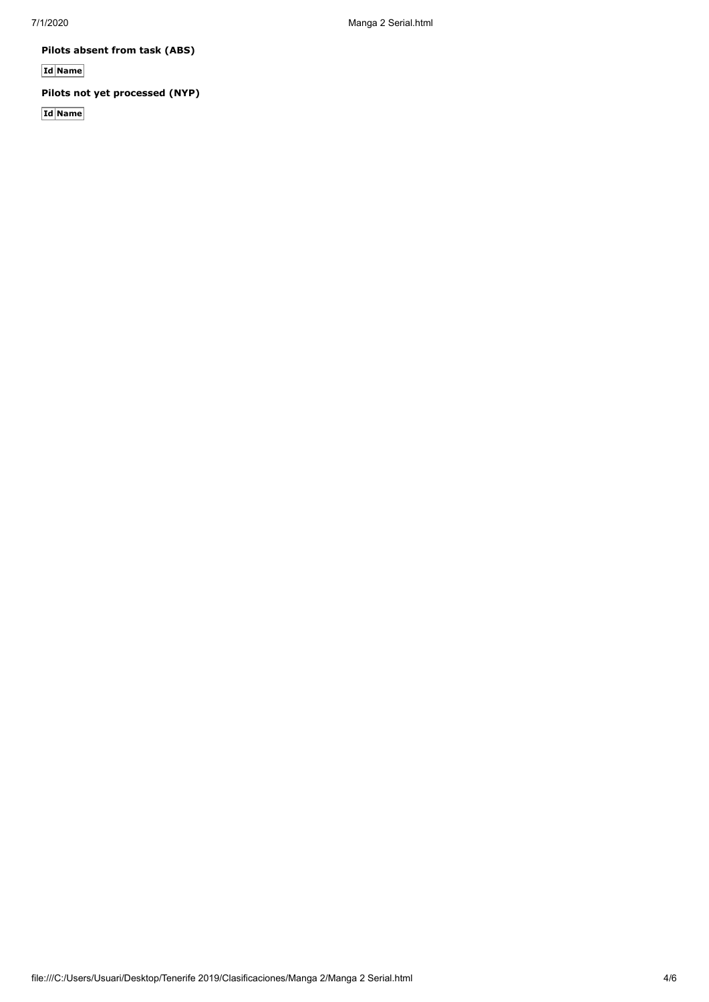**Pilots absent from task (ABS)**

**Id Name**

**Pilots not yet processed (NYP)**

**Id Name**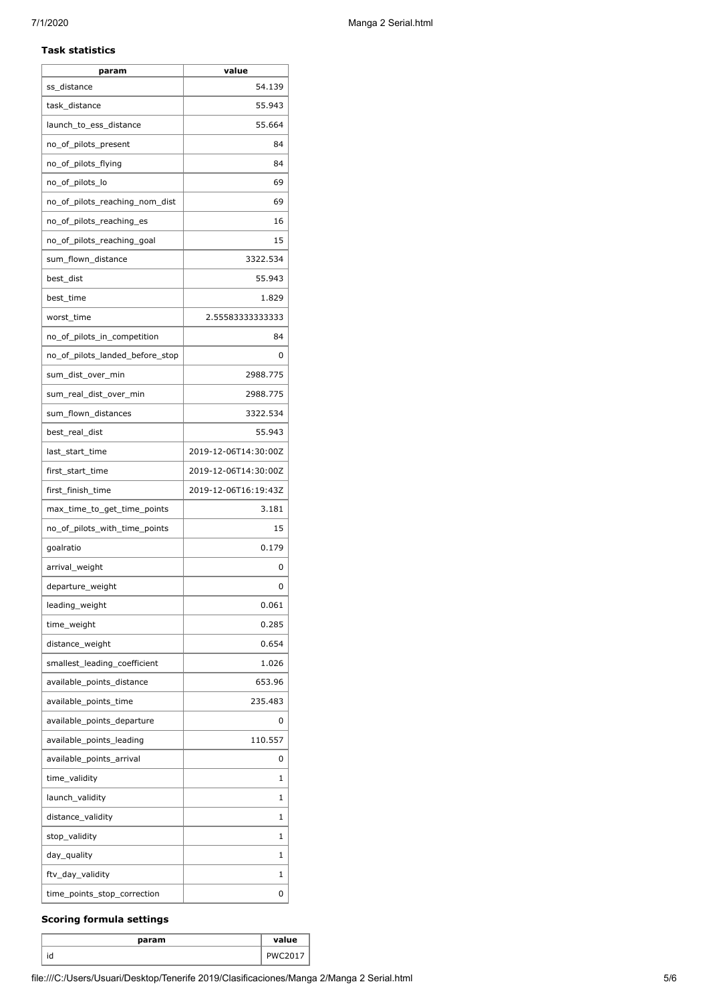#### **Task statistics**

| param                           | value                |
|---------------------------------|----------------------|
| ss_distance                     | 54.139               |
| task_distance                   | 55.943               |
| launch_to_ess_distance          | 55.664               |
| no_of_pilots_present            | 84                   |
| no_of_pilots_flying             | 84                   |
| no_of_pilots_lo                 | 69                   |
| no_of_pilots_reaching_nom_dist  | 69                   |
| no_of_pilots_reaching_es        | 16                   |
| no_of_pilots_reaching_goal      | 15                   |
| sum_flown_distance              | 3322.534             |
| best_dist                       | 55.943               |
| best time                       | 1.829                |
| worst_time                      | 2.55583333333333     |
| no_of_pilots_in_competition     | 84                   |
| no_of_pilots_landed_before_stop | 0                    |
| sum_dist_over_min               | 2988.775             |
| sum_real_dist_over_min          | 2988.775             |
| sum_flown_distances             | 3322.534             |
| best_real_dist                  | 55.943               |
| last_start_time                 | 2019-12-06T14:30:00Z |
| first_start_time                | 2019-12-06T14:30:00Z |
| first_finish_time               | 2019-12-06T16:19:43Z |
| max_time_to_get_time_points     | 3.181                |
| no_of_pilots_with_time_points   | 15                   |
| goalratio                       | 0.179                |
| arrival_weight                  | 0                    |
| departure_weight                | 0                    |
| leading_weight                  | 0.061                |
| time_weight                     | 0.285                |
| distance_weight                 | 0.654                |
| smallest_leading_coefficient    | 1.026                |
| available_points_distance       | 653.96               |
| available_points_time           | 235.483              |
| available points departure      | 0                    |
| available_points_leading        | 110.557              |
| available_points_arrival        | 0                    |
| time_validity                   | 1                    |
| launch_validity                 | 1                    |
| distance_validity               | 1                    |
| stop_validity                   | 1                    |
| day_quality                     | 1                    |
| ftv_day_validity                | 1                    |
| time_points_stop_correction     | 0                    |
|                                 |                      |

## **Scoring formula settings**

| param | value |
|-------|-------|
| ιu    |       |